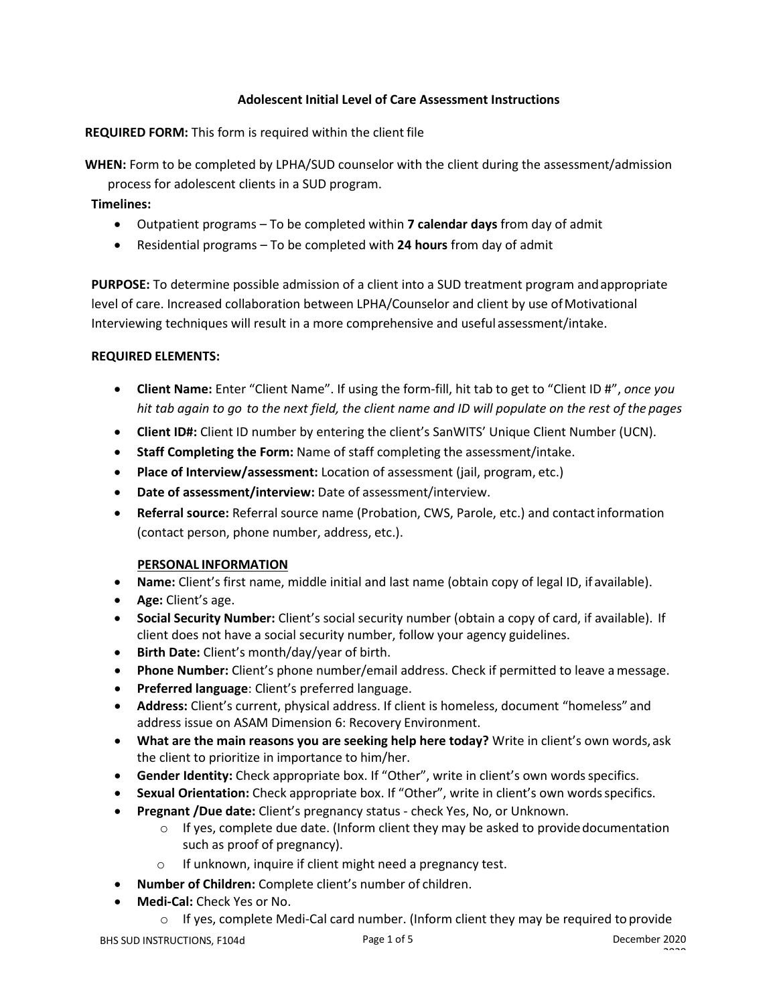# **Adolescent Initial Level of Care Assessment Instructions**

## **REQUIRED FORM:** This form is required within the client file

**WHEN:** Form to be completed by LPHA/SUD counselor with the client during the assessment/admission

process for adolescent clients in a SUD program.

## **Timelines:**

- Outpatient programs To be completed within **7 calendar days** from day of admit
- Residential programs To be completed with **24 hours** from day of admit

**PURPOSE:** To determine possible admission of a client into a SUD treatment program andappropriate level of care. Increased collaboration between LPHA/Counselor and client by use ofMotivational Interviewing techniques will result in a more comprehensive and useful assessment/intake.

### **REQUIRED ELEMENTS:**

- **Client Name:** Enter "Client Name". If using the form-fill, hit tab to get to "Client ID #", *once you hit tab again to go to the next field, the client name and ID will populate on the rest of the pages*
- **Client ID#:** Client ID number by entering the client's SanWITS' Unique Client Number (UCN).
- **Staff Completing the Form:** Name of staff completing the assessment/intake.
- **Place of Interview/assessment:** Location of assessment (jail, program, etc.)
- **Date of assessment/interview:** Date of assessment/interview.
- **Referral source:** Referral source name (Probation, CWS, Parole, etc.) and contactinformation (contact person, phone number, address, etc.).

### **PERSONAL INFORMATION**

- **Name:** Client's first name, middle initial and last name (obtain copy of legal ID, if available).
- **Age:** Client's age.
- **Social Security Number:** Client's social security number (obtain a copy of card, if available). If client does not have a social security number, follow your agency guidelines.
- **Birth Date:** Client's month/day/year of birth.
- **Phone Number:** Client's phone number/email address. Check if permitted to leave amessage.
- **Preferred language**: Client's preferred language.
- **Address:** Client's current, physical address. If client is homeless, document "homeless" and address issue on ASAM Dimension 6: Recovery Environment.
- **What are the main reasons you are seeking help here today?** Write in client's own words, ask the client to prioritize in importance to him/her.
- Gender Identity: Check appropriate box. If "Other", write in client's own words specifics.
- **Sexual Orientation:** Check appropriate box. If "Other", write in client's own wordsspecifics.
- **Pregnant /Due date:** Client's pregnancy status check Yes, No, or Unknown.
	- $\circ$  If yes, complete due date. (Inform client they may be asked to provide documentation such as proof of pregnancy).
	- o If unknown, inquire if client might need a pregnancy test.
- **Number of Children:** Complete client's number of children.
- **Medi-Cal:** Check Yes or No.
	- $\circ$  If yes, complete Medi-Cal card number. (Inform client they may be required to provide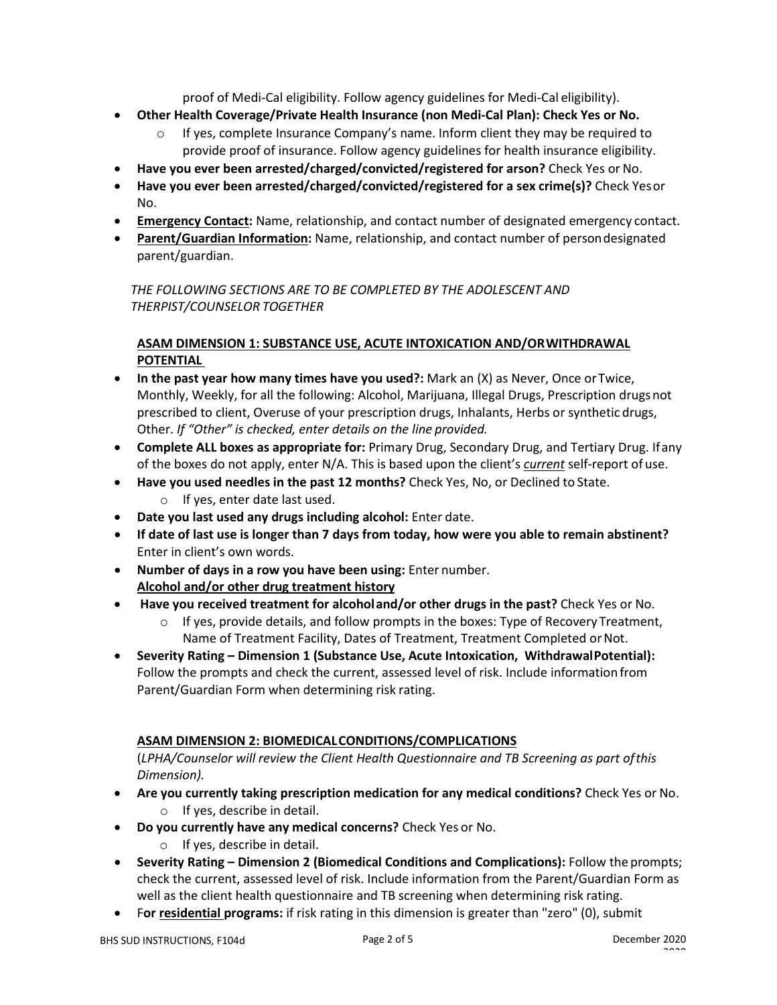proof of Medi-Cal eligibility. Follow agency guidelines for Medi-Cal eligibility).

- **Other Health Coverage/Private Health Insurance (non Medi-Cal Plan): Check Yes or No.**
	- If yes, complete Insurance Company's name. Inform client they may be required to provide proof of insurance. Follow agency guidelines for health insurance eligibility.
- **Have you ever been arrested/charged/convicted/registered for arson?** Check Yes or No.
- **Have you ever been arrested/charged/convicted/registered for a sex crime(s)?** Check Yesor No.
- **Emergency Contact:** Name, relationship, and contact number of designated emergency contact.
- **Parent/Guardian Information:** Name, relationship, and contact number of persondesignated parent/guardian.

*THE FOLLOWING SECTIONS ARE TO BE COMPLETED BY THE ADOLESCENT AND THERPIST/COUNSELOR TOGETHER*

# **ASAM DIMENSION 1: SUBSTANCE USE, ACUTE INTOXICATION AND/ORWITHDRAWAL POTENTIAL**

- **In the past year how many times have you used?:** Mark an (X) as Never, Once orTwice, Monthly, Weekly, for all the following: Alcohol, Marijuana, Illegal Drugs, Prescription drugsnot prescribed to client, Overuse of your prescription drugs, Inhalants, Herbs or synthetic drugs, Other. *If "Other" is checked, enter details on the line provided.*
- **Complete ALL boxes as appropriate for:** Primary Drug, Secondary Drug, and Tertiary Drug. Ifany of the boxes do not apply, enter N/A. This is based upon the client's *current* self-report of use.
- **Have you used needles in the past 12 months?** Check Yes, No, or Declined to State.
	- o If yes, enter date last used.
- **Date you last used any drugs including alcohol:** Enter date.
- **If date of last use is longer than 7 days from today, how were you able to remain abstinent?** Enter in client's own words.
- **Number of days in a row you have been using:** Enter number. **Alcohol and/or other drug treatment history**
- **Have you received treatment for alcoholand/or other drugs in the past?** Check Yes or No.
	- o If yes, provide details, and follow prompts in the boxes: Type of Recovery Treatment, Name of Treatment Facility, Dates of Treatment, Treatment Completed or Not.
- **Severity Rating – Dimension 1 (Substance Use, Acute Intoxication, WithdrawalPotential):**  Follow the prompts and check the current, assessed level of risk. Include information from Parent/Guardian Form when determining risk rating.

# **ASAM DIMENSION 2: BIOMEDICALCONDITIONS/COMPLICATIONS**

(*LPHA/Counselor will review the Client Health Questionnaire and TB Screening as part ofthis Dimension).*

- **Are you currently taking prescription medication for any medical conditions?** Check Yes or No. o If yes, describe in detail.
- **Do you currently have any medical concerns?** Check Yes or No.
	- o If yes, describe in detail.
- **Severity Rating – Dimension 2 (Biomedical Conditions and Complications):** Follow the prompts; check the current, assessed level of risk. Include information from the Parent/Guardian Form as well as the client health questionnaire and TB screening when determining risk rating.
- F**or residential programs:** if risk rating in this dimension is greater than "zero" (0), submit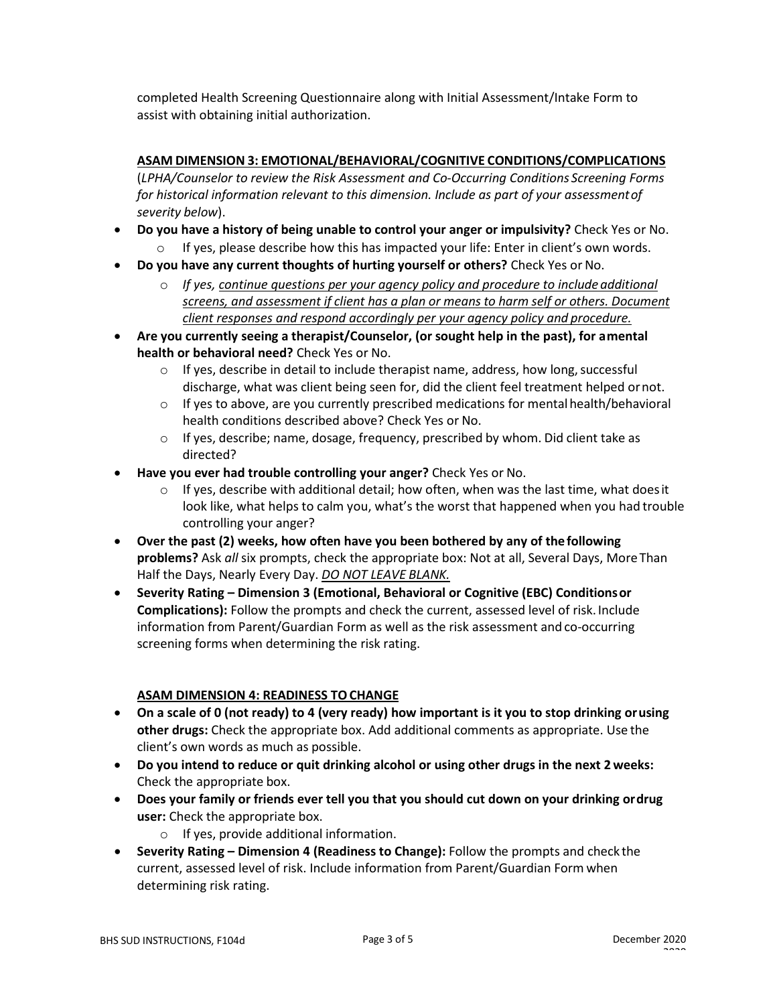completed Health Screening Questionnaire along with Initial Assessment/Intake Form to assist with obtaining initial authorization.

# **ASAM DIMENSION 3: EMOTIONAL/BEHAVIORAL/COGNITIVE CONDITIONS/COMPLICATIONS**

(*LPHA/Counselor to review the Risk Assessment and Co-Occurring Conditions Screening Forms for historical information relevant to this dimension. Include as part of your assessmentof severity below*).

- **Do you have a history of being unable to control your anger or impulsivity?** Check Yes or No.  $\circ$  If yes, please describe how this has impacted your life: Enter in client's own words.
- **Do you have any current thoughts of hurting yourself or others?** Check Yes or No.
	- o *If yes, continue questions per your agency policy and procedure to include additional screens, and assessment if client has a plan or means to harm self or others. Document client responses and respond accordingly per your agency policy and procedure.*
- **Are you currently seeing a therapist/Counselor, (or sought help in the past), for amental health or behavioral need?** Check Yes or No.
	- $\circ$  If yes, describe in detail to include therapist name, address, how long, successful discharge, what was client being seen for, did the client feel treatment helped ornot.
	- $\circ$  If yes to above, are you currently prescribed medications for mental health/behavioral health conditions described above? Check Yes or No.
	- $\circ$  If yes, describe; name, dosage, frequency, prescribed by whom. Did client take as directed?
- **Have you ever had trouble controlling your anger?** Check Yes or No.
	- $\circ$  If yes, describe with additional detail; how often, when was the last time, what does it look like, what helps to calm you, what's the worst that happened when you had trouble controlling your anger?
- **Over the past (2) weeks, how often have you been bothered by any of thefollowing problems?** Ask *all* six prompts, check the appropriate box: Not at all, Several Days, MoreThan Half the Days, Nearly Every Day. *DO NOT LEAVE BLANK.*
- **Severity Rating – Dimension 3 (Emotional, Behavioral or Cognitive (EBC) Conditionsor Complications):** Follow the prompts and check the current, assessed level of risk. Include information from Parent/Guardian Form as well as the risk assessment and co-occurring screening forms when determining the risk rating.

# **ASAM DIMENSION 4: READINESS TOCHANGE**

- **On a scale of 0 (not ready) to 4 (very ready) how important is it you to stop drinking orusing other drugs:** Check the appropriate box. Add additional comments as appropriate. Use the client's own words as much as possible.
- **Do you intend to reduce or quit drinking alcohol or using other drugs in the next 2weeks:** Check the appropriate box.
- **Does your family or friends ever tell you that you should cut down on your drinking ordrug user:** Check the appropriate box.
	- o If yes, provide additional information.
- **Severity Rating – Dimension 4 (Readiness to Change):** Follow the prompts and check the current, assessed level of risk. Include information from Parent/Guardian Form when determining risk rating.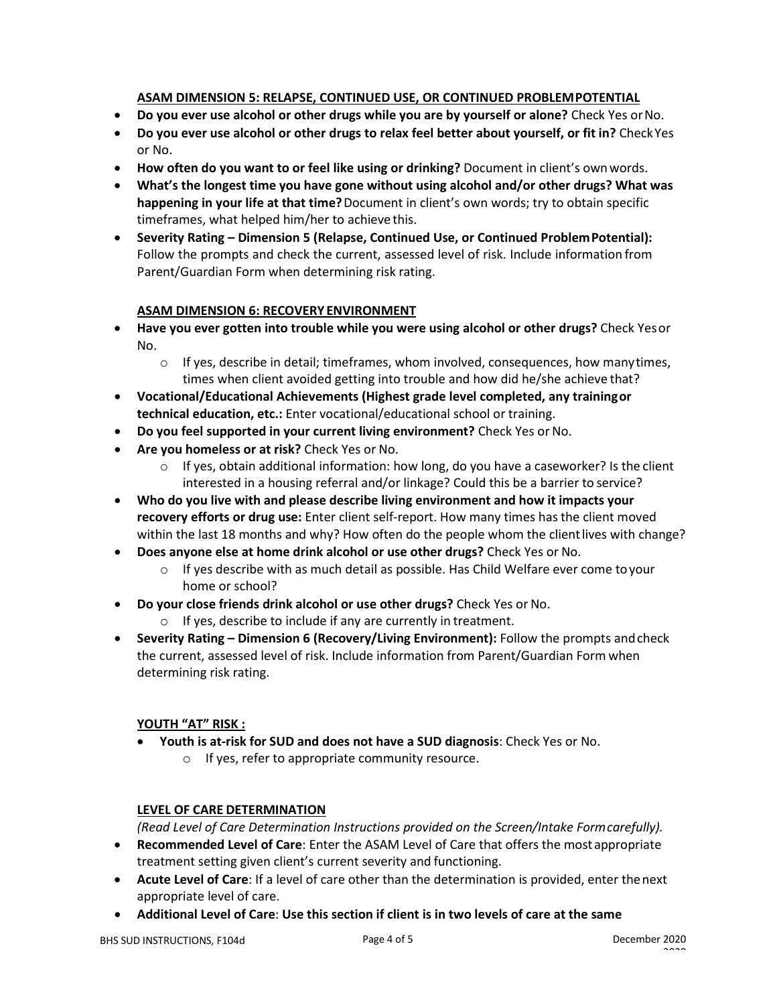## **ASAM DIMENSION 5: RELAPSE, CONTINUED USE, OR CONTINUED PROBLEMPOTENTIAL**

- **Do you ever use alcohol or other drugs while you are by yourself or alone?** Check Yes orNo.
- **Do you ever use alcohol or other drugs to relax feel better about yourself, or fit in?** CheckYes or No.
- **How often do you want to or feel like using or drinking?** Document in client's ownwords.
- **What's the longest time you have gone without using alcohol and/or other drugs? What was happening in your life at that time?**Document in client's own words; try to obtain specific timeframes, what helped him/her to achieve this.
- **Severity Rating – Dimension 5 (Relapse, Continued Use, or Continued ProblemPotential):**  Follow the prompts and check the current, assessed level of risk. Include information from Parent/Guardian Form when determining risk rating.

## **ASAM DIMENSION 6: RECOVERY ENVIRONMENT**

- **Have you ever gotten into trouble while you were using alcohol or other drugs?** Check Yesor No.
	- $\circ$  If yes, describe in detail; timeframes, whom involved, consequences, how manytimes, times when client avoided getting into trouble and how did he/she achieve that?
- **Vocational/Educational Achievements (Highest grade level completed, any trainingor technical education, etc.:** Enter vocational/educational school or training.
- **Do you feel supported in your current living environment?** Check Yes orNo.
- **Are you homeless or at risk?** Check Yes or No.
	- $\circ$  If yes, obtain additional information: how long, do you have a caseworker? Is the client interested in a housing referral and/or linkage? Could this be a barrier to service?
- **Who do you live with and please describe living environment and how it impacts your recovery efforts or drug use:** Enter client self-report. How many times has the client moved within the last 18 months and why? How often do the people whom the client lives with change?
- **Does anyone else at home drink alcohol or use other drugs?** Check Yes or No.
	- $\circ$  If yes describe with as much detail as possible. Has Child Welfare ever come to your home or school?
- **Do your close friends drink alcohol or use other drugs?** Check Yes or No.
	- o If yes, describe to include if any are currently in treatment.
- **Severity Rating – Dimension 6 (Recovery/Living Environment):** Follow the prompts andcheck the current, assessed level of risk. Include information from Parent/Guardian Form when determining risk rating.

### **YOUTH "AT" RISK :**

- **Youth is at-risk for SUD and does not have a SUD diagnosis**: Check Yes or No.
	- o If yes, refer to appropriate community resource.

### **LEVEL OF CARE DETERMINATION**

*(Read Level of Care Determination Instructions provided on the Screen/Intake Formcarefully).*

- **Recommended Level of Care**: Enter the ASAM Level of Care that offers the mostappropriate treatment setting given client's current severity and functioning.
- **Acute Level of Care**: If a level of care other than the determination is provided, enter thenext appropriate level of care.
- **Additional Level of Care**: **Use this section if client is in two levels of care at the same**